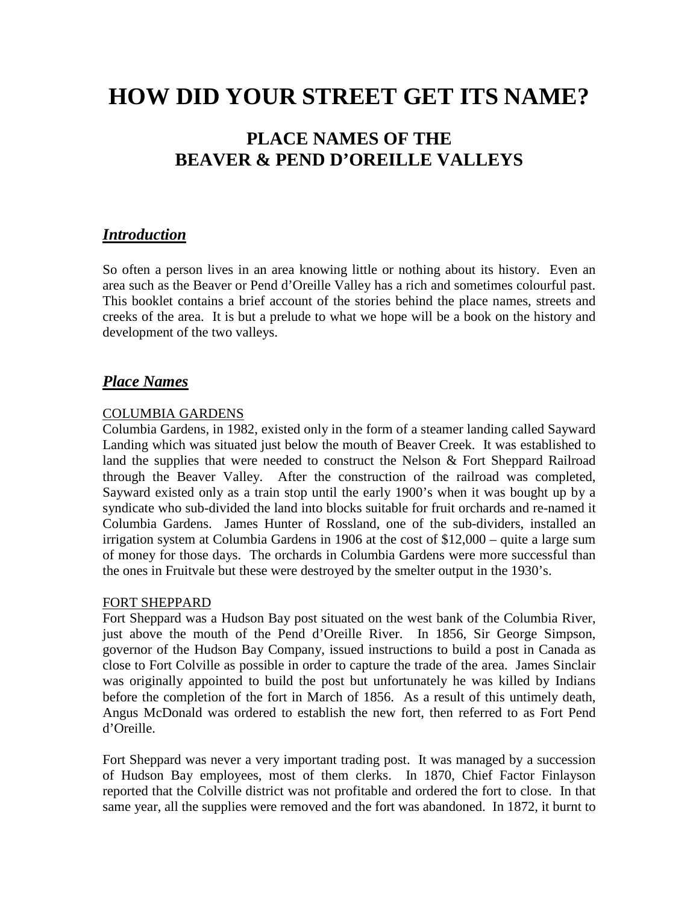# **HOW DID YOUR STREET GET ITS NAME?**

# **PLACE NAMES OF THE BEAVER & PEND D'OREILLE VALLEYS**

## *Introduction*

So often a person lives in an area knowing little or nothing about its history. Even an area such as the Beaver or Pend d'Oreille Valley has a rich and sometimes colourful past. This booklet contains a brief account of the stories behind the place names, streets and creeks of the area. It is but a prelude to what we hope will be a book on the history and development of the two valleys.

# *Place Names*

#### COLUMBIA GARDENS

Columbia Gardens, in 1982, existed only in the form of a steamer landing called Sayward Landing which was situated just below the mouth of Beaver Creek. It was established to land the supplies that were needed to construct the Nelson & Fort Sheppard Railroad through the Beaver Valley. After the construction of the railroad was completed, Sayward existed only as a train stop until the early 1900's when it was bought up by a syndicate who sub-divided the land into blocks suitable for fruit orchards and re-named it Columbia Gardens. James Hunter of Rossland, one of the sub-dividers, installed an irrigation system at Columbia Gardens in 1906 at the cost of \$12,000 – quite a large sum of money for those days. The orchards in Columbia Gardens were more successful than the ones in Fruitvale but these were destroyed by the smelter output in the 1930's.

#### FORT SHEPPARD

Fort Sheppard was a Hudson Bay post situated on the west bank of the Columbia River, just above the mouth of the Pend d'Oreille River. In 1856, Sir George Simpson, governor of the Hudson Bay Company, issued instructions to build a post in Canada as close to Fort Colville as possible in order to capture the trade of the area. James Sinclair was originally appointed to build the post but unfortunately he was killed by Indians before the completion of the fort in March of 1856. As a result of this untimely death, Angus McDonald was ordered to establish the new fort, then referred to as Fort Pend d'Oreille.

Fort Sheppard was never a very important trading post. It was managed by a succession of Hudson Bay employees, most of them clerks. In 1870, Chief Factor Finlayson reported that the Colville district was not profitable and ordered the fort to close. In that same year, all the supplies were removed and the fort was abandoned. In 1872, it burnt to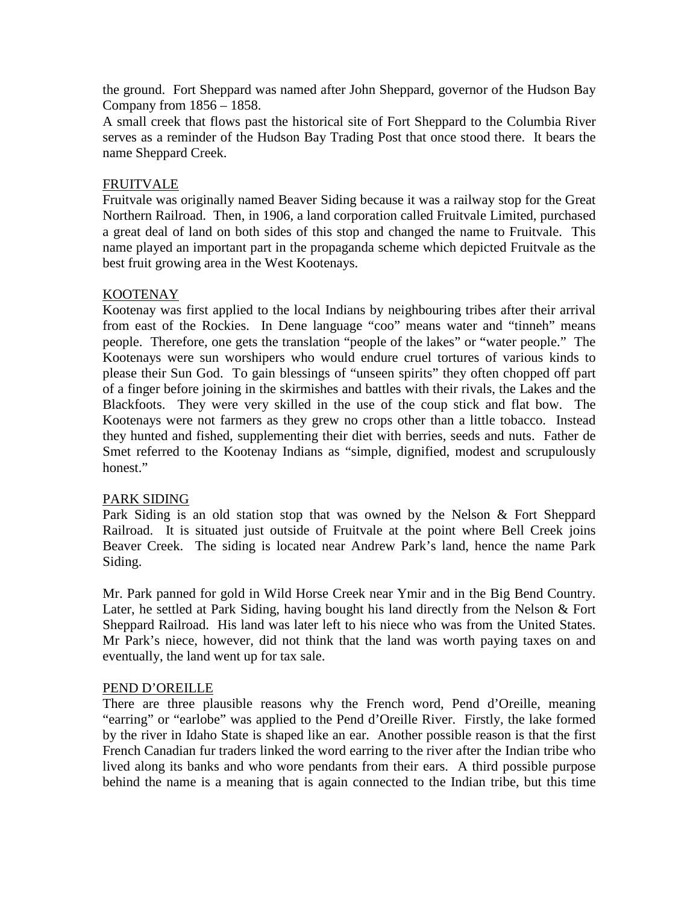the ground. Fort Sheppard was named after John Sheppard, governor of the Hudson Bay Company from 1856 – 1858.

A small creek that flows past the historical site of Fort Sheppard to the Columbia River serves as a reminder of the Hudson Bay Trading Post that once stood there. It bears the name Sheppard Creek.

#### FRUITVALE

Fruitvale was originally named Beaver Siding because it was a railway stop for the Great Northern Railroad. Then, in 1906, a land corporation called Fruitvale Limited, purchased a great deal of land on both sides of this stop and changed the name to Fruitvale. This name played an important part in the propaganda scheme which depicted Fruitvale as the best fruit growing area in the West Kootenays.

#### KOOTENAY

Kootenay was first applied to the local Indians by neighbouring tribes after their arrival from east of the Rockies. In Dene language "coo" means water and "tinneh" means people. Therefore, one gets the translation "people of the lakes" or "water people." The Kootenays were sun worshipers who would endure cruel tortures of various kinds to please their Sun God. To gain blessings of "unseen spirits" they often chopped off part of a finger before joining in the skirmishes and battles with their rivals, the Lakes and the Blackfoots. They were very skilled in the use of the coup stick and flat bow. The Kootenays were not farmers as they grew no crops other than a little tobacco. Instead they hunted and fished, supplementing their diet with berries, seeds and nuts. Father de Smet referred to the Kootenay Indians as "simple, dignified, modest and scrupulously honest."

#### PARK SIDING

Park Siding is an old station stop that was owned by the Nelson & Fort Sheppard Railroad. It is situated just outside of Fruitvale at the point where Bell Creek joins Beaver Creek. The siding is located near Andrew Park's land, hence the name Park Siding.

Mr. Park panned for gold in Wild Horse Creek near Ymir and in the Big Bend Country. Later, he settled at Park Siding, having bought his land directly from the Nelson & Fort Sheppard Railroad. His land was later left to his niece who was from the United States. Mr Park's niece, however, did not think that the land was worth paying taxes on and eventually, the land went up for tax sale.

#### PEND D'OREILLE

There are three plausible reasons why the French word, Pend d'Oreille, meaning "earring" or "earlobe" was applied to the Pend d'Oreille River. Firstly, the lake formed by the river in Idaho State is shaped like an ear. Another possible reason is that the first French Canadian fur traders linked the word earring to the river after the Indian tribe who lived along its banks and who wore pendants from their ears. A third possible purpose behind the name is a meaning that is again connected to the Indian tribe, but this time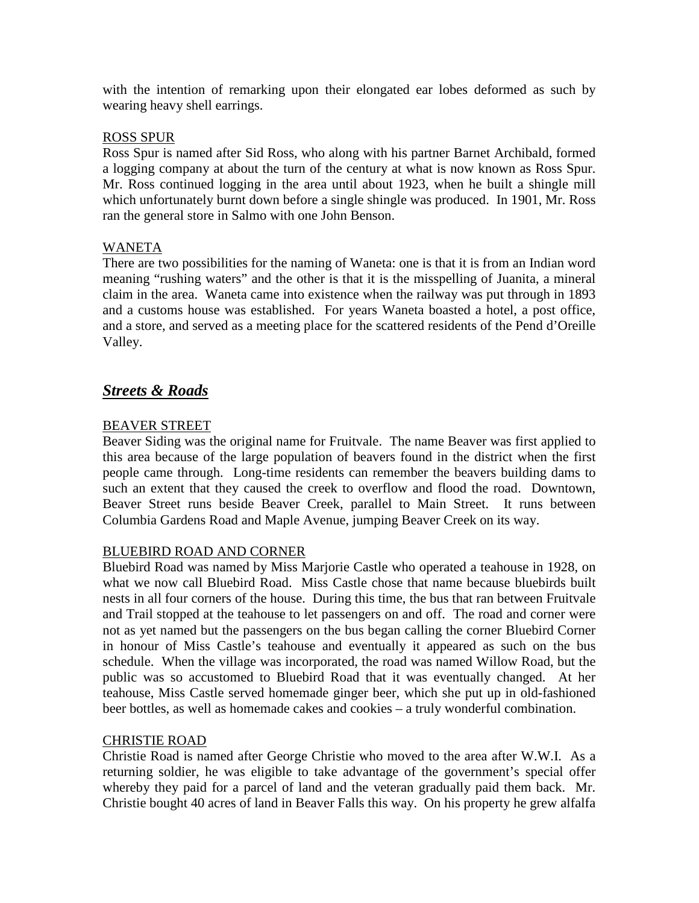with the intention of remarking upon their elongated ear lobes deformed as such by wearing heavy shell earrings.

#### ROSS SPUR

Ross Spur is named after Sid Ross, who along with his partner Barnet Archibald, formed a logging company at about the turn of the century at what is now known as Ross Spur. Mr. Ross continued logging in the area until about 1923, when he built a shingle mill which unfortunately burnt down before a single shingle was produced. In 1901, Mr. Ross ran the general store in Salmo with one John Benson.

#### WANETA

There are two possibilities for the naming of Waneta: one is that it is from an Indian word meaning "rushing waters" and the other is that it is the misspelling of Juanita, a mineral claim in the area. Waneta came into existence when the railway was put through in 1893 and a customs house was established. For years Waneta boasted a hotel, a post office, and a store, and served as a meeting place for the scattered residents of the Pend d'Oreille Valley.

### *Streets & Roads*

#### BEAVER STREET

Beaver Siding was the original name for Fruitvale. The name Beaver was first applied to this area because of the large population of beavers found in the district when the first people came through. Long-time residents can remember the beavers building dams to such an extent that they caused the creek to overflow and flood the road. Downtown, Beaver Street runs beside Beaver Creek, parallel to Main Street. It runs between Columbia Gardens Road and Maple Avenue, jumping Beaver Creek on its way.

#### BLUEBIRD ROAD AND CORNER

Bluebird Road was named by Miss Marjorie Castle who operated a teahouse in 1928, on what we now call Bluebird Road. Miss Castle chose that name because bluebirds built nests in all four corners of the house. During this time, the bus that ran between Fruitvale and Trail stopped at the teahouse to let passengers on and off. The road and corner were not as yet named but the passengers on the bus began calling the corner Bluebird Corner in honour of Miss Castle's teahouse and eventually it appeared as such on the bus schedule. When the village was incorporated, the road was named Willow Road, but the public was so accustomed to Bluebird Road that it was eventually changed. At her teahouse, Miss Castle served homemade ginger beer, which she put up in old-fashioned beer bottles, as well as homemade cakes and cookies – a truly wonderful combination.

#### CHRISTIE ROAD

Christie Road is named after George Christie who moved to the area after W.W.I. As a returning soldier, he was eligible to take advantage of the government's special offer whereby they paid for a parcel of land and the veteran gradually paid them back. Mr. Christie bought 40 acres of land in Beaver Falls this way. On his property he grew alfalfa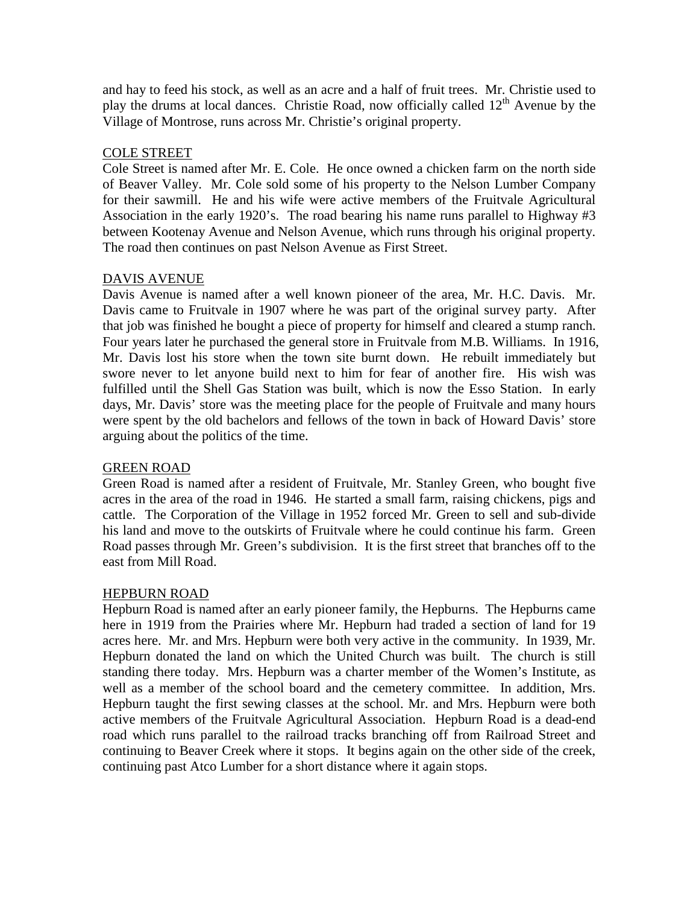and hay to feed his stock, as well as an acre and a half of fruit trees. Mr. Christie used to play the drums at local dances. Christie Road, now officially called  $12<sup>th</sup>$  Avenue by the Village of Montrose, runs across Mr. Christie's original property.

#### COLE STREET

Cole Street is named after Mr. E. Cole. He once owned a chicken farm on the north side of Beaver Valley. Mr. Cole sold some of his property to the Nelson Lumber Company for their sawmill. He and his wife were active members of the Fruitvale Agricultural Association in the early 1920's. The road bearing his name runs parallel to Highway #3 between Kootenay Avenue and Nelson Avenue, which runs through his original property. The road then continues on past Nelson Avenue as First Street.

#### DAVIS AVENUE

Davis Avenue is named after a well known pioneer of the area, Mr. H.C. Davis. Mr. Davis came to Fruitvale in 1907 where he was part of the original survey party. After that job was finished he bought a piece of property for himself and cleared a stump ranch. Four years later he purchased the general store in Fruitvale from M.B. Williams. In 1916, Mr. Davis lost his store when the town site burnt down. He rebuilt immediately but swore never to let anyone build next to him for fear of another fire. His wish was fulfilled until the Shell Gas Station was built, which is now the Esso Station. In early days, Mr. Davis' store was the meeting place for the people of Fruitvale and many hours were spent by the old bachelors and fellows of the town in back of Howard Davis' store arguing about the politics of the time.

#### GREEN ROAD

Green Road is named after a resident of Fruitvale, Mr. Stanley Green, who bought five acres in the area of the road in 1946. He started a small farm, raising chickens, pigs and cattle. The Corporation of the Village in 1952 forced Mr. Green to sell and sub-divide his land and move to the outskirts of Fruitvale where he could continue his farm. Green Road passes through Mr. Green's subdivision. It is the first street that branches off to the east from Mill Road.

#### HEPBURN ROAD

Hepburn Road is named after an early pioneer family, the Hepburns. The Hepburns came here in 1919 from the Prairies where Mr. Hepburn had traded a section of land for 19 acres here. Mr. and Mrs. Hepburn were both very active in the community. In 1939, Mr. Hepburn donated the land on which the United Church was built. The church is still standing there today. Mrs. Hepburn was a charter member of the Women's Institute, as well as a member of the school board and the cemetery committee. In addition, Mrs. Hepburn taught the first sewing classes at the school. Mr. and Mrs. Hepburn were both active members of the Fruitvale Agricultural Association. Hepburn Road is a dead-end road which runs parallel to the railroad tracks branching off from Railroad Street and continuing to Beaver Creek where it stops. It begins again on the other side of the creek, continuing past Atco Lumber for a short distance where it again stops.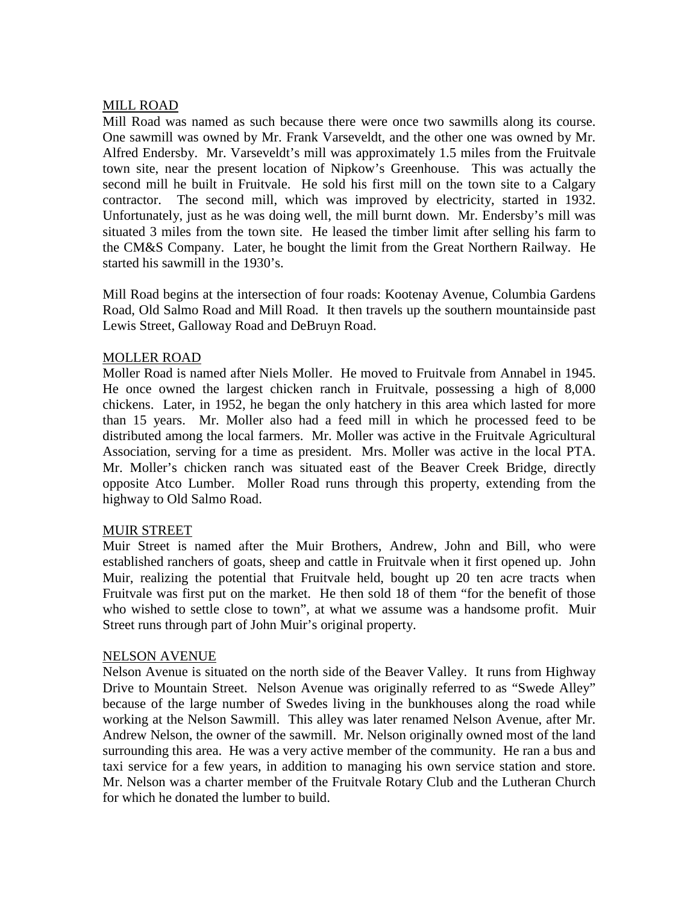#### MILL ROAD

Mill Road was named as such because there were once two sawmills along its course. One sawmill was owned by Mr. Frank Varseveldt, and the other one was owned by Mr. Alfred Endersby. Mr. Varseveldt's mill was approximately 1.5 miles from the Fruitvale town site, near the present location of Nipkow's Greenhouse. This was actually the second mill he built in Fruitvale. He sold his first mill on the town site to a Calgary contractor. The second mill, which was improved by electricity, started in 1932. Unfortunately, just as he was doing well, the mill burnt down. Mr. Endersby's mill was situated 3 miles from the town site. He leased the timber limit after selling his farm to the CM&S Company. Later, he bought the limit from the Great Northern Railway. He started his sawmill in the 1930's.

Mill Road begins at the intersection of four roads: Kootenay Avenue, Columbia Gardens Road, Old Salmo Road and Mill Road. It then travels up the southern mountainside past Lewis Street, Galloway Road and DeBruyn Road.

#### MOLLER ROAD

Moller Road is named after Niels Moller. He moved to Fruitvale from Annabel in 1945. He once owned the largest chicken ranch in Fruitvale, possessing a high of 8,000 chickens. Later, in 1952, he began the only hatchery in this area which lasted for more than 15 years. Mr. Moller also had a feed mill in which he processed feed to be distributed among the local farmers. Mr. Moller was active in the Fruitvale Agricultural Association, serving for a time as president. Mrs. Moller was active in the local PTA. Mr. Moller's chicken ranch was situated east of the Beaver Creek Bridge, directly opposite Atco Lumber. Moller Road runs through this property, extending from the highway to Old Salmo Road.

#### MUIR STREET

Muir Street is named after the Muir Brothers, Andrew, John and Bill, who were established ranchers of goats, sheep and cattle in Fruitvale when it first opened up. John Muir, realizing the potential that Fruitvale held, bought up 20 ten acre tracts when Fruitvale was first put on the market. He then sold 18 of them "for the benefit of those who wished to settle close to town", at what we assume was a handsome profit. Muir Street runs through part of John Muir's original property.

#### NELSON AVENUE

Nelson Avenue is situated on the north side of the Beaver Valley. It runs from Highway Drive to Mountain Street. Nelson Avenue was originally referred to as "Swede Alley" because of the large number of Swedes living in the bunkhouses along the road while working at the Nelson Sawmill. This alley was later renamed Nelson Avenue, after Mr. Andrew Nelson, the owner of the sawmill. Mr. Nelson originally owned most of the land surrounding this area. He was a very active member of the community. He ran a bus and taxi service for a few years, in addition to managing his own service station and store. Mr. Nelson was a charter member of the Fruitvale Rotary Club and the Lutheran Church for which he donated the lumber to build.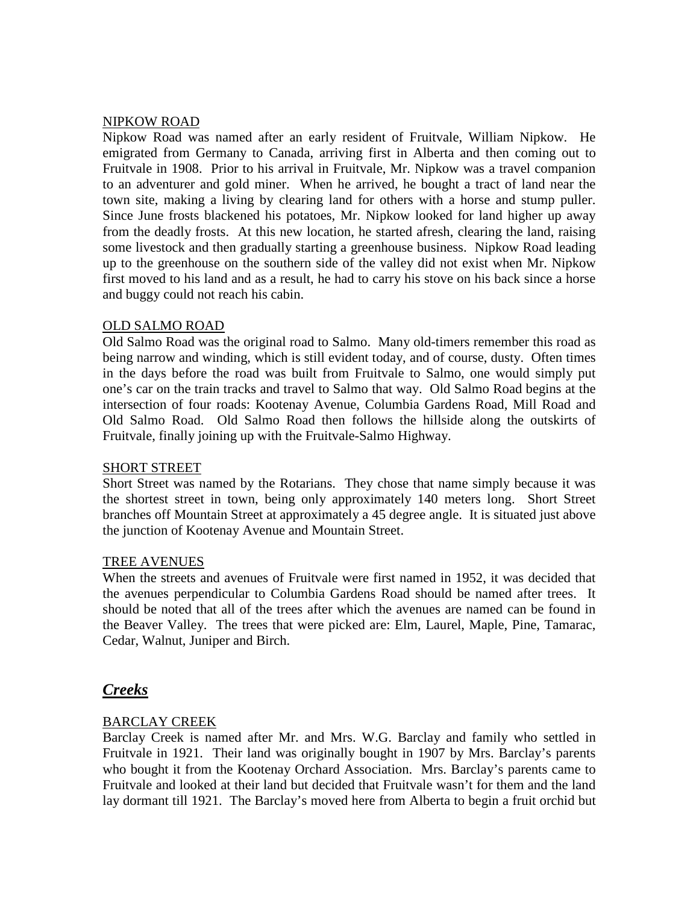#### NIPKOW ROAD

Nipkow Road was named after an early resident of Fruitvale, William Nipkow. He emigrated from Germany to Canada, arriving first in Alberta and then coming out to Fruitvale in 1908. Prior to his arrival in Fruitvale, Mr. Nipkow was a travel companion to an adventurer and gold miner. When he arrived, he bought a tract of land near the town site, making a living by clearing land for others with a horse and stump puller. Since June frosts blackened his potatoes, Mr. Nipkow looked for land higher up away from the deadly frosts. At this new location, he started afresh, clearing the land, raising some livestock and then gradually starting a greenhouse business. Nipkow Road leading up to the greenhouse on the southern side of the valley did not exist when Mr. Nipkow first moved to his land and as a result, he had to carry his stove on his back since a horse and buggy could not reach his cabin.

#### OLD SALMO ROAD

Old Salmo Road was the original road to Salmo. Many old-timers remember this road as being narrow and winding, which is still evident today, and of course, dusty. Often times in the days before the road was built from Fruitvale to Salmo, one would simply put one's car on the train tracks and travel to Salmo that way. Old Salmo Road begins at the intersection of four roads: Kootenay Avenue, Columbia Gardens Road, Mill Road and Old Salmo Road. Old Salmo Road then follows the hillside along the outskirts of Fruitvale, finally joining up with the Fruitvale-Salmo Highway.

#### SHORT STREET

Short Street was named by the Rotarians. They chose that name simply because it was the shortest street in town, being only approximately 140 meters long. Short Street branches off Mountain Street at approximately a 45 degree angle. It is situated just above the junction of Kootenay Avenue and Mountain Street.

#### TREE AVENUES

When the streets and avenues of Fruitvale were first named in 1952, it was decided that the avenues perpendicular to Columbia Gardens Road should be named after trees. It should be noted that all of the trees after which the avenues are named can be found in the Beaver Valley. The trees that were picked are: Elm, Laurel, Maple, Pine, Tamarac, Cedar, Walnut, Juniper and Birch.

#### *Creeks*

#### BARCLAY CREEK

Barclay Creek is named after Mr. and Mrs. W.G. Barclay and family who settled in Fruitvale in 1921. Their land was originally bought in 1907 by Mrs. Barclay's parents who bought it from the Kootenay Orchard Association. Mrs. Barclay's parents came to Fruitvale and looked at their land but decided that Fruitvale wasn't for them and the land lay dormant till 1921. The Barclay's moved here from Alberta to begin a fruit orchid but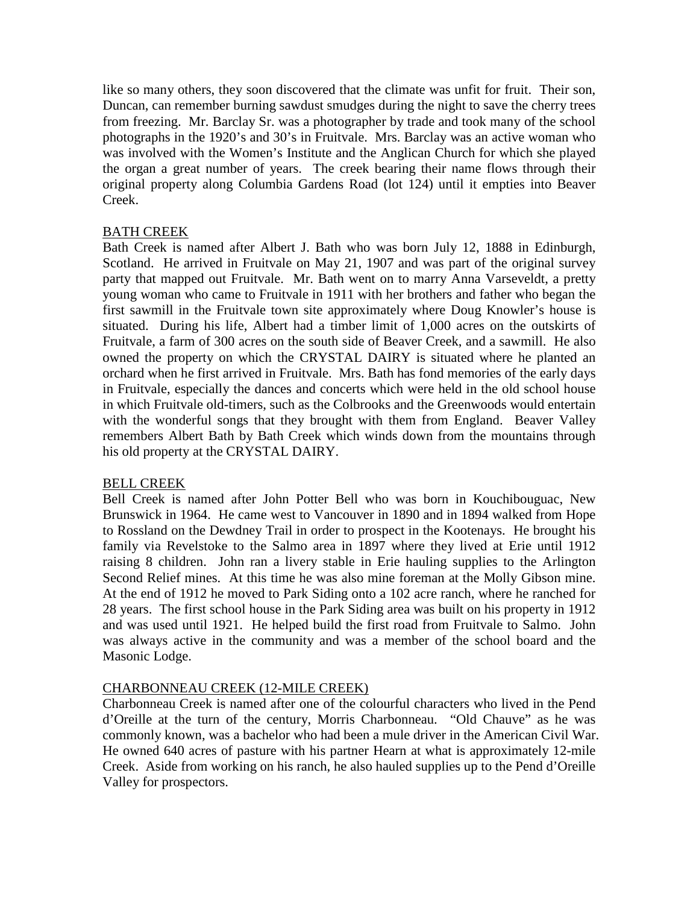like so many others, they soon discovered that the climate was unfit for fruit. Their son, Duncan, can remember burning sawdust smudges during the night to save the cherry trees from freezing. Mr. Barclay Sr. was a photographer by trade and took many of the school photographs in the 1920's and 30's in Fruitvale. Mrs. Barclay was an active woman who was involved with the Women's Institute and the Anglican Church for which she played the organ a great number of years. The creek bearing their name flows through their original property along Columbia Gardens Road (lot 124) until it empties into Beaver Creek.

#### BATH CREEK

Bath Creek is named after Albert J. Bath who was born July 12, 1888 in Edinburgh, Scotland. He arrived in Fruitvale on May 21, 1907 and was part of the original survey party that mapped out Fruitvale. Mr. Bath went on to marry Anna Varseveldt, a pretty young woman who came to Fruitvale in 1911 with her brothers and father who began the first sawmill in the Fruitvale town site approximately where Doug Knowler's house is situated. During his life, Albert had a timber limit of 1,000 acres on the outskirts of Fruitvale, a farm of 300 acres on the south side of Beaver Creek, and a sawmill. He also owned the property on which the CRYSTAL DAIRY is situated where he planted an orchard when he first arrived in Fruitvale. Mrs. Bath has fond memories of the early days in Fruitvale, especially the dances and concerts which were held in the old school house in which Fruitvale old-timers, such as the Colbrooks and the Greenwoods would entertain with the wonderful songs that they brought with them from England. Beaver Valley remembers Albert Bath by Bath Creek which winds down from the mountains through his old property at the CRYSTAL DAIRY.

#### BELL CREEK

Bell Creek is named after John Potter Bell who was born in Kouchibouguac, New Brunswick in 1964. He came west to Vancouver in 1890 and in 1894 walked from Hope to Rossland on the Dewdney Trail in order to prospect in the Kootenays. He brought his family via Revelstoke to the Salmo area in 1897 where they lived at Erie until 1912 raising 8 children. John ran a livery stable in Erie hauling supplies to the Arlington Second Relief mines. At this time he was also mine foreman at the Molly Gibson mine. At the end of 1912 he moved to Park Siding onto a 102 acre ranch, where he ranched for 28 years. The first school house in the Park Siding area was built on his property in 1912 and was used until 1921. He helped build the first road from Fruitvale to Salmo. John was always active in the community and was a member of the school board and the Masonic Lodge.

#### CHARBONNEAU CREEK (12-MILE CREEK)

Charbonneau Creek is named after one of the colourful characters who lived in the Pend d'Oreille at the turn of the century, Morris Charbonneau. "Old Chauve" as he was commonly known, was a bachelor who had been a mule driver in the American Civil War. He owned 640 acres of pasture with his partner Hearn at what is approximately 12-mile Creek. Aside from working on his ranch, he also hauled supplies up to the Pend d'Oreille Valley for prospectors.